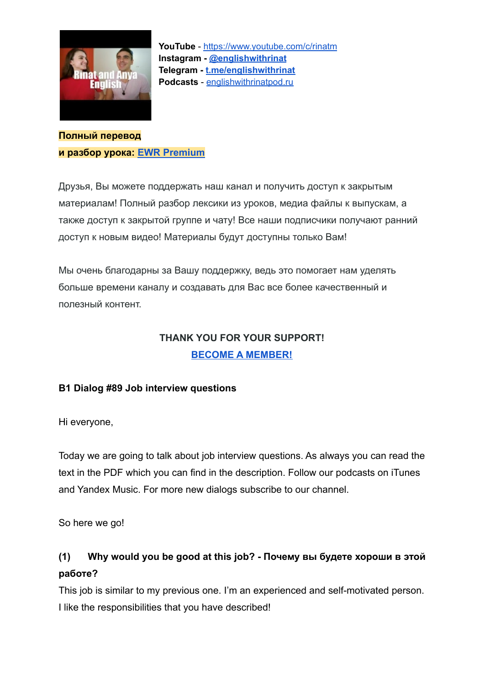

**Полный перевод и разбор урока: [EWR Premium](https://boosty.to/englishwithrinat/posts/dae1ec3c-c42f-4482-bd00-929a0158c79d?share=success_publish_link)**

Друзья, Вы можете поддержать наш канал и получить доступ к закрытым материалам! Полный разбор лексики из уроков, медиа файлы к выпускам, а также доступ к закрытой группе и чату! Все наши подписчики получают ранний доступ к новым видео! Материалы будут доступны только Вам!

Мы очень благодарны за Вашу поддержку, ведь это помогает нам уделять больше времени каналу и создавать для Вас все более качественный и полезный контент.

### **THANK YOU FOR YOUR SUPPORT! [BECOME A MEMBER!](https://boosty.to/englishwithrinat/posts/dae1ec3c-c42f-4482-bd00-929a0158c79d?share=success_publish_link)**

#### **B1 Dialog #89 Job interview questions**

Hi everyone,

Today we are going to talk about job interview questions. As always you can read the text in the PDF which you can find in the description. Follow our podcasts on iTunes and Yandex Music. For more new dialogs subscribe to our channel.

So here we go!

### **(1) Why would you be good at this job? - Почему вы будете хороши в этой работе?**

This job is similar to my previous one. I'm an experienced and self-motivated person. I like the responsibilities that you have described!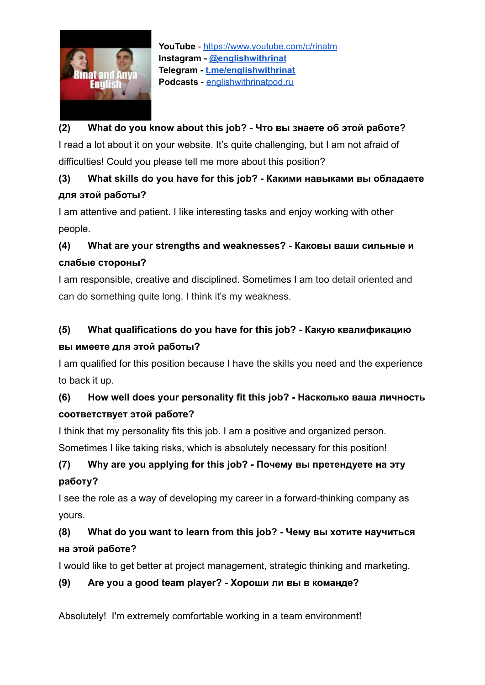

#### **(2) What do you know about this job? - Что вы знаете об этой работе?**

I read a lot about it on your website. It's quite challenging, but I am not afraid of difficulties! Could you please tell me more about this position?

### **(3) What skills do you have for this job? - Какими навыками вы обладаете для этой работы?**

I am attentive and patient. I like interesting tasks and enjoy working with other people.

# **(4) What are your strengths and weaknesses? - Каковы ваши сильные и слабые стороны?**

I am responsible, creative and disciplined. Sometimes I am too detail oriented and can do something quite long. I think it's my weakness.

# **(5) What qualifications do you have for this job? - Какую квалификацию вы имеете для этой работы?**

I am qualified for this position because I have the skills you need and the experience to back it up.

# **(6) How well does your personality fit this job? - Насколько ваша личность соответствует этой работе?**

I think that my personality fits this job. I am a positive and organized person. Sometimes I like taking risks, which is absolutely necessary for this position!

# **(7) Why are you applying for this job? - Почему вы претендуете на эту работу?**

I see the role as a way of developing my career in a forward-thinking company as yours.

### **(8) What do you want to learn from this job? - Чему вы хотите научиться на этой работе?**

I would like to get better at project management, strategic thinking and marketing.

#### **(9) Are you a good team player? - Хороши ли вы в команде?**

Absolutely! I'm extremely comfortable working in a team environment!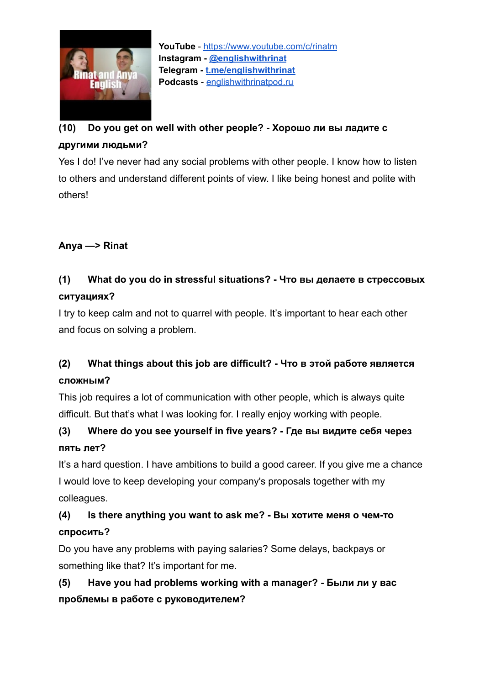

# **(10) Do you get on well with other people? - Хорошо ли вы ладите с другими людьми?**

Yes I do! I've never had any social problems with other people. I know how to listen to others and understand different points of view. I like being honest and polite with others!

#### **Anya —> Rinat**

### **(1) What do you do in stressful situations? - Что вы делаете в стрессовых ситуациях?**

I try to keep calm and not to quarrel with people. It's important to hear each other and focus on solving a problem.

### **(2) What things about this job are difficult? - Что в этой работе является сложным?**

This job requires a lot of communication with other people, which is always quite difficult. But that's what I was looking for. I really enjoy working with people.

# **(3) Where do you see yourself in five years? - Где вы видите себя через пять лет?**

It's a hard question. I have ambitions to build a good career. If you give me a chance I would love to keep developing your company's proposals together with my colleagues.

# **(4) Is there anything you want to ask me? - Вы хотите меня о чем-то спросить?**

Do you have any problems with paying salaries? Some delays, backpays or something like that? It's important for me.

# **(5) Have you had problems working with a manager? - Были ли у вас проблемы в работе с руководителем?**